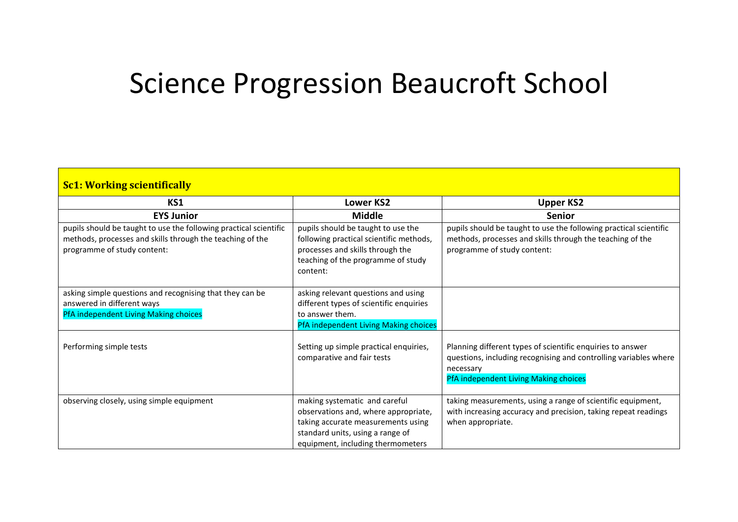## Science Progression Beaucroft School

| <b>Sc1: Working scientifically</b>                                                                                                                            |                                                                                                                                                                                      |                                                                                                                                                                                      |
|---------------------------------------------------------------------------------------------------------------------------------------------------------------|--------------------------------------------------------------------------------------------------------------------------------------------------------------------------------------|--------------------------------------------------------------------------------------------------------------------------------------------------------------------------------------|
| KS1                                                                                                                                                           | <b>Lower KS2</b>                                                                                                                                                                     | <b>Upper KS2</b>                                                                                                                                                                     |
| <b>EYS Junior</b>                                                                                                                                             | <b>Middle</b>                                                                                                                                                                        | <b>Senior</b>                                                                                                                                                                        |
| pupils should be taught to use the following practical scientific<br>methods, processes and skills through the teaching of the<br>programme of study content: | pupils should be taught to use the<br>following practical scientific methods,<br>processes and skills through the<br>teaching of the programme of study<br>content:                  | pupils should be taught to use the following practical scientific<br>methods, processes and skills through the teaching of the<br>programme of study content:                        |
| asking simple questions and recognising that they can be<br>answered in different ways<br>PfA independent Living Making choices                               | asking relevant questions and using<br>different types of scientific enquiries<br>to answer them.<br>PfA independent Living Making choices                                           |                                                                                                                                                                                      |
| Performing simple tests                                                                                                                                       | Setting up simple practical enquiries,<br>comparative and fair tests                                                                                                                 | Planning different types of scientific enquiries to answer<br>questions, including recognising and controlling variables where<br>necessary<br>PfA independent Living Making choices |
| observing closely, using simple equipment                                                                                                                     | making systematic and careful<br>observations and, where appropriate,<br>taking accurate measurements using<br>standard units, using a range of<br>equipment, including thermometers | taking measurements, using a range of scientific equipment,<br>with increasing accuracy and precision, taking repeat readings<br>when appropriate.                                   |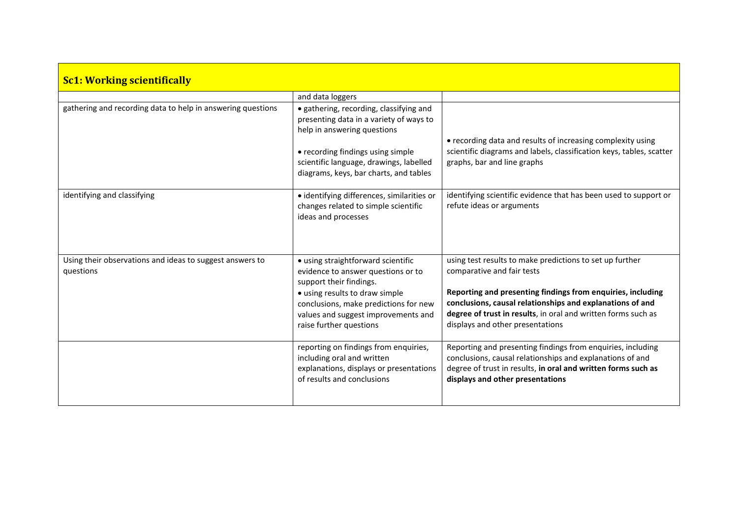| <b>Sc1: Working scientifically</b>                                    |                                                                                                                                                                                                                                                  |                                                                                                                                                                                                                                                                                                                         |
|-----------------------------------------------------------------------|--------------------------------------------------------------------------------------------------------------------------------------------------------------------------------------------------------------------------------------------------|-------------------------------------------------------------------------------------------------------------------------------------------------------------------------------------------------------------------------------------------------------------------------------------------------------------------------|
|                                                                       | and data loggers                                                                                                                                                                                                                                 |                                                                                                                                                                                                                                                                                                                         |
| gathering and recording data to help in answering questions           | · gathering, recording, classifying and<br>presenting data in a variety of ways to<br>help in answering questions<br>• recording findings using simple<br>scientific language, drawings, labelled<br>diagrams, keys, bar charts, and tables      | • recording data and results of increasing complexity using<br>scientific diagrams and labels, classification keys, tables, scatter<br>graphs, bar and line graphs                                                                                                                                                      |
| identifying and classifying                                           | · identifying differences, similarities or<br>changes related to simple scientific<br>ideas and processes                                                                                                                                        | identifying scientific evidence that has been used to support or<br>refute ideas or arguments                                                                                                                                                                                                                           |
| Using their observations and ideas to suggest answers to<br>questions | • using straightforward scientific<br>evidence to answer questions or to<br>support their findings.<br>• using results to draw simple<br>conclusions, make predictions for new<br>values and suggest improvements and<br>raise further questions | using test results to make predictions to set up further<br>comparative and fair tests<br>Reporting and presenting findings from enquiries, including<br>conclusions, causal relationships and explanations of and<br>degree of trust in results, in oral and written forms such as<br>displays and other presentations |
|                                                                       | reporting on findings from enquiries,<br>including oral and written<br>explanations, displays or presentations<br>of results and conclusions                                                                                                     | Reporting and presenting findings from enquiries, including<br>conclusions, causal relationships and explanations of and<br>degree of trust in results, in oral and written forms such as<br>displays and other presentations                                                                                           |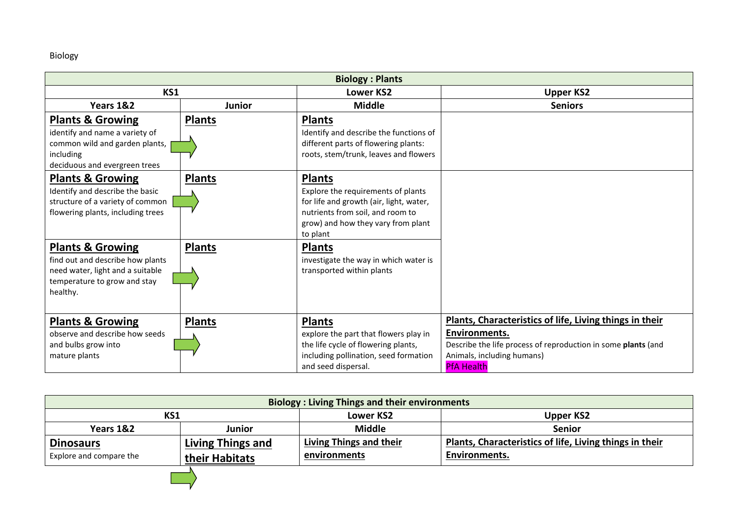## Biology

| <b>Biology: Plants</b>                                                                                                                          |               |                                                                                                                                                                                      |                                                                                                                                                                                              |
|-------------------------------------------------------------------------------------------------------------------------------------------------|---------------|--------------------------------------------------------------------------------------------------------------------------------------------------------------------------------------|----------------------------------------------------------------------------------------------------------------------------------------------------------------------------------------------|
| KS1                                                                                                                                             |               | <b>Lower KS2</b>                                                                                                                                                                     | <b>Upper KS2</b>                                                                                                                                                                             |
| Years 1&2                                                                                                                                       | <b>Junior</b> | <b>Middle</b>                                                                                                                                                                        | <b>Seniors</b>                                                                                                                                                                               |
| <b>Plants &amp; Growing</b><br>identify and name a variety of<br>common wild and garden plants,<br>including<br>deciduous and evergreen trees   | <b>Plants</b> | <b>Plants</b><br>Identify and describe the functions of<br>different parts of flowering plants:<br>roots, stem/trunk, leaves and flowers                                             |                                                                                                                                                                                              |
| <b>Plants &amp; Growing</b><br>Identify and describe the basic<br>structure of a variety of common<br>flowering plants, including trees         | <b>Plants</b> | <b>Plants</b><br>Explore the requirements of plants<br>for life and growth (air, light, water,<br>nutrients from soil, and room to<br>grow) and how they vary from plant<br>to plant |                                                                                                                                                                                              |
| <b>Plants &amp; Growing</b><br>find out and describe how plants<br>need water, light and a suitable<br>temperature to grow and stay<br>healthy. | <b>Plants</b> | <b>Plants</b><br>investigate the way in which water is<br>transported within plants                                                                                                  |                                                                                                                                                                                              |
| <b>Plants &amp; Growing</b><br>observe and describe how seeds<br>and bulbs grow into<br>mature plants                                           | <b>Plants</b> | <b>Plants</b><br>explore the part that flowers play in<br>the life cycle of flowering plants,<br>including pollination, seed formation<br>and seed dispersal.                        | Plants, Characteristics of life, Living things in their<br>Environments.<br>Describe the life process of reproduction in some plants (and<br>Animals, including humans)<br><b>PfA Health</b> |

| <b>Biology: Living Things and their environments</b> |                   |                         |                                                         |
|------------------------------------------------------|-------------------|-------------------------|---------------------------------------------------------|
| KS1<br>Lower KS2<br>Upper KS2                        |                   |                         |                                                         |
| Years 1&2                                            | Junior            | <b>Middle</b>           | <b>Senior</b>                                           |
| <b>Dinosaurs</b>                                     | Living Things and | Living Things and their | Plants, Characteristics of life, Living things in their |
| Explore and compare the                              | their Habitats    | environments            | Environments.                                           |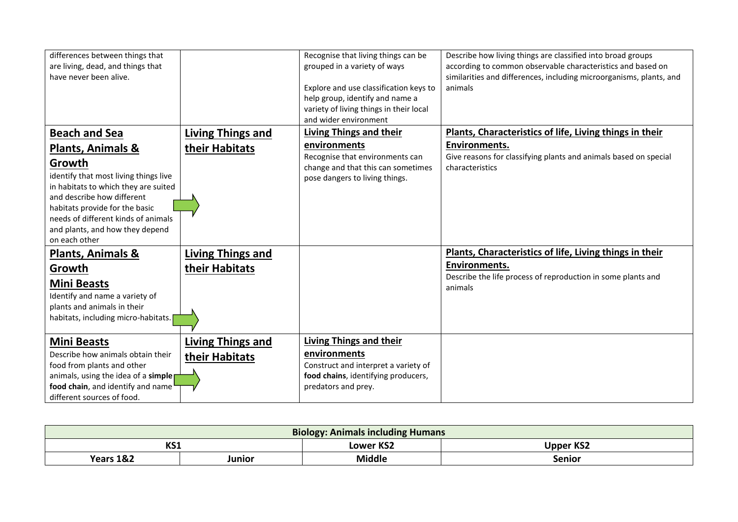| differences between things that       |                          | Recognise that living things can be     | Describe how living things are classified into broad groups         |
|---------------------------------------|--------------------------|-----------------------------------------|---------------------------------------------------------------------|
| are living, dead, and things that     |                          | grouped in a variety of ways            | according to common observable characteristics and based on         |
| have never been alive.                |                          |                                         | similarities and differences, including microorganisms, plants, and |
|                                       |                          | Explore and use classification keys to  | animals                                                             |
|                                       |                          | help group, identify and name a         |                                                                     |
|                                       |                          | variety of living things in their local |                                                                     |
|                                       |                          | and wider environment                   |                                                                     |
| <b>Beach and Sea</b>                  | <b>Living Things and</b> | <b>Living Things and their</b>          | Plants, Characteristics of life, Living things in their             |
| <b>Plants, Animals &amp;</b>          | their Habitats           | environments                            | Environments.                                                       |
|                                       |                          | Recognise that environments can         | Give reasons for classifying plants and animals based on special    |
| Growth                                |                          | change and that this can sometimes      | characteristics                                                     |
| identify that most living things live |                          | pose dangers to living things.          |                                                                     |
| in habitats to which they are suited  |                          |                                         |                                                                     |
| and describe how different            |                          |                                         |                                                                     |
| habitats provide for the basic        |                          |                                         |                                                                     |
| needs of different kinds of animals   |                          |                                         |                                                                     |
| and plants, and how they depend       |                          |                                         |                                                                     |
| on each other                         |                          |                                         |                                                                     |
| Plants, Animals &                     | <b>Living Things and</b> |                                         | Plants, Characteristics of life, Living things in their             |
| Growth                                | their Habitats           |                                         | Environments.                                                       |
| <b>Mini Beasts</b>                    |                          |                                         | Describe the life process of reproduction in some plants and        |
| Identify and name a variety of        |                          |                                         | animals                                                             |
| plants and animals in their           |                          |                                         |                                                                     |
| habitats, including micro-habitats.   |                          |                                         |                                                                     |
|                                       |                          |                                         |                                                                     |
| <b>Mini Beasts</b>                    | <b>Living Things and</b> | <b>Living Things and their</b>          |                                                                     |
| Describe how animals obtain their     | their Habitats           | environments                            |                                                                     |
| food from plants and other            |                          | Construct and interpret a variety of    |                                                                     |
| animals, using the idea of a simple   |                          | food chains, identifying producers,     |                                                                     |
| food chain, and identify and name     |                          | predators and prey.                     |                                                                     |
| different sources of food.            |                          |                                         |                                                                     |

| <b>Biology: Animals including Humans</b> |        |                                      |        |
|------------------------------------------|--------|--------------------------------------|--------|
| KS1                                      |        | <b>Upper KS2</b><br><b>Lower KS2</b> |        |
| Years 1&2                                | Junior | <b>Middle</b>                        | Senior |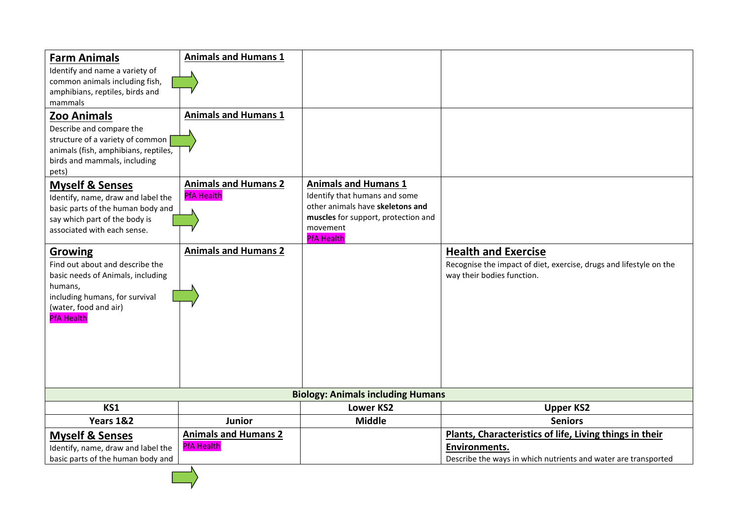| <b>Farm Animals</b><br>Identify and name a variety of<br>common animals including fish,<br>amphibians, reptiles, birds and<br>mammals<br>Zoo Animals<br>Describe and compare the<br>structure of a variety of common<br>animals (fish, amphibians, reptiles,<br>birds and mammals, including<br>pets)                                               | <b>Animals and Humans 1</b><br><b>Animals and Humans 1</b>                      |                                                                                                                                                                          |                                                                                                                                                   |
|-----------------------------------------------------------------------------------------------------------------------------------------------------------------------------------------------------------------------------------------------------------------------------------------------------------------------------------------------------|---------------------------------------------------------------------------------|--------------------------------------------------------------------------------------------------------------------------------------------------------------------------|---------------------------------------------------------------------------------------------------------------------------------------------------|
| <b>Myself &amp; Senses</b><br>Identify, name, draw and label the<br>basic parts of the human body and<br>say which part of the body is<br>associated with each sense.<br>Growing<br>Find out about and describe the<br>basic needs of Animals, including<br>humans,<br>including humans, for survival<br>(water, food and air)<br><b>PfA Health</b> | <b>Animals and Humans 2</b><br><b>PfA Health</b><br><b>Animals and Humans 2</b> | <b>Animals and Humans 1</b><br>Identify that humans and some<br>other animals have skeletons and<br>muscles for support, protection and<br>movement<br><b>PfA Health</b> | <b>Health and Exercise</b><br>Recognise the impact of diet, exercise, drugs and lifestyle on the<br>way their bodies function.                    |
|                                                                                                                                                                                                                                                                                                                                                     |                                                                                 | <b>Biology: Animals including Humans</b>                                                                                                                                 |                                                                                                                                                   |
| KS1                                                                                                                                                                                                                                                                                                                                                 |                                                                                 | <b>Lower KS2</b>                                                                                                                                                         | <b>Upper KS2</b>                                                                                                                                  |
| Years 1&2                                                                                                                                                                                                                                                                                                                                           | <b>Junior</b>                                                                   | <b>Middle</b>                                                                                                                                                            | <b>Seniors</b>                                                                                                                                    |
| <b>Myself &amp; Senses</b><br>Identify, name, draw and label the<br>basic parts of the human body and                                                                                                                                                                                                                                               | <b>Animals and Humans 2</b><br><b>PfA Health</b><br>A.                          |                                                                                                                                                                          | Plants, Characteristics of life, Living things in their<br><b>Environments.</b><br>Describe the ways in which nutrients and water are transported |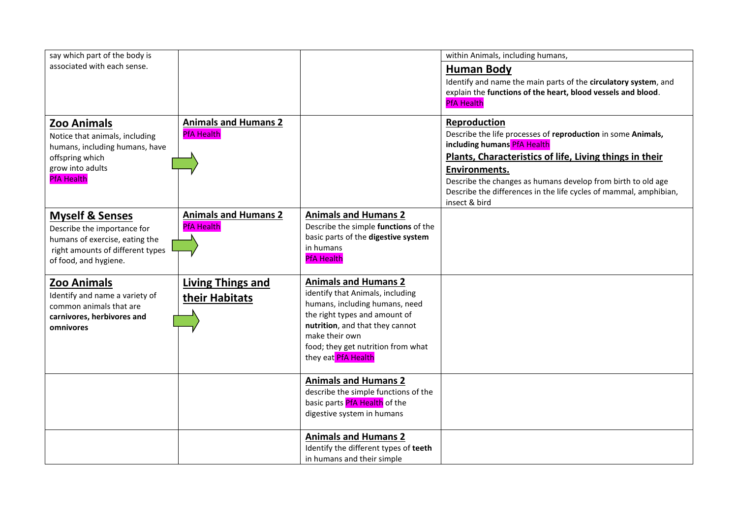| say which part of the body is                                                                                                                                                    |                                                                                 |                                                                                                                                                                                                                                                      | within Animals, including humans,                                                                                                                                                                                                                                                                                                             |
|----------------------------------------------------------------------------------------------------------------------------------------------------------------------------------|---------------------------------------------------------------------------------|------------------------------------------------------------------------------------------------------------------------------------------------------------------------------------------------------------------------------------------------------|-----------------------------------------------------------------------------------------------------------------------------------------------------------------------------------------------------------------------------------------------------------------------------------------------------------------------------------------------|
| associated with each sense.                                                                                                                                                      |                                                                                 |                                                                                                                                                                                                                                                      | <b>Human Body</b><br>Identify and name the main parts of the circulatory system, and<br>explain the functions of the heart, blood vessels and blood.<br><b>PfA Health</b>                                                                                                                                                                     |
| <b>Zoo Animals</b><br>Notice that animals, including<br>humans, including humans, have<br>offspring which<br>grow into adults<br><b>PfA Health</b><br><b>Myself &amp; Senses</b> | <b>Animals and Humans 2</b><br><b>PfA Health</b><br><b>Animals and Humans 2</b> | <b>Animals and Humans 2</b>                                                                                                                                                                                                                          | Reproduction<br>Describe the life processes of reproduction in some Animals,<br>including humans PfA Health<br>Plants, Characteristics of life, Living things in their<br>Environments.<br>Describe the changes as humans develop from birth to old age<br>Describe the differences in the life cycles of mammal, amphibian,<br>insect & bird |
| Describe the importance for<br>humans of exercise, eating the<br>right amounts of different types<br>of food, and hygiene.                                                       | <b>PfA Health</b>                                                               | Describe the simple functions of the<br>basic parts of the digestive system<br>in humans<br><b>PfA Health</b>                                                                                                                                        |                                                                                                                                                                                                                                                                                                                                               |
| <b>Zoo Animals</b><br>Identify and name a variety of<br>common animals that are<br>carnivores, herbivores and<br>omnivores                                                       | <b>Living Things and</b><br>their Habitats                                      | <b>Animals and Humans 2</b><br>identify that Animals, including<br>humans, including humans, need<br>the right types and amount of<br>nutrition, and that they cannot<br>make their own<br>food; they get nutrition from what<br>they eat PfA Health |                                                                                                                                                                                                                                                                                                                                               |
|                                                                                                                                                                                  |                                                                                 | <b>Animals and Humans 2</b><br>describe the simple functions of the<br>basic parts PfA Health of the<br>digestive system in humans                                                                                                                   |                                                                                                                                                                                                                                                                                                                                               |
|                                                                                                                                                                                  |                                                                                 | <b>Animals and Humans 2</b><br>Identify the different types of teeth<br>in humans and their simple                                                                                                                                                   |                                                                                                                                                                                                                                                                                                                                               |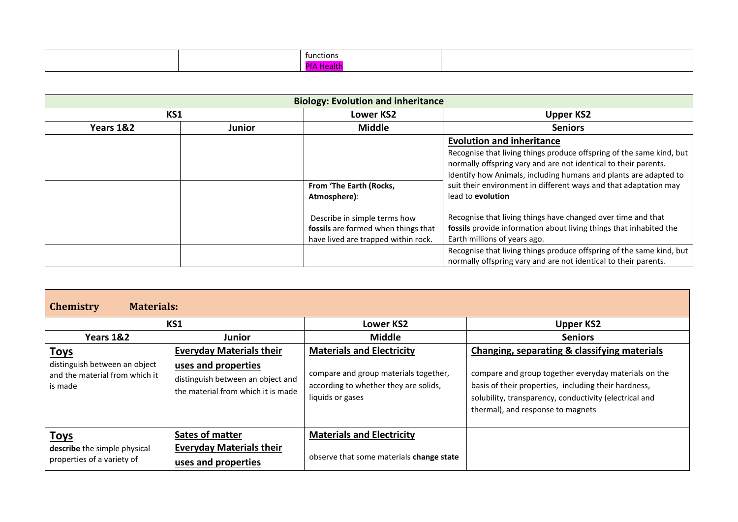|  | tunctions |  |
|--|-----------|--|
|  |           |  |

| <b>Biology: Evolution and inheritance</b> |        |                                     |                                                                      |
|-------------------------------------------|--------|-------------------------------------|----------------------------------------------------------------------|
| KS1                                       |        | <b>Lower KS2</b>                    | <b>Upper KS2</b>                                                     |
| Years 1&2                                 | Junior | <b>Middle</b>                       | <b>Seniors</b>                                                       |
|                                           |        |                                     | <b>Evolution and inheritance</b>                                     |
|                                           |        |                                     | Recognise that living things produce offspring of the same kind, but |
|                                           |        |                                     | normally offspring vary and are not identical to their parents.      |
|                                           |        |                                     | Identify how Animals, including humans and plants are adapted to     |
|                                           |        | From 'The Earth (Rocks,             | suit their environment in different ways and that adaptation may     |
|                                           |        | Atmosphere):                        | lead to evolution                                                    |
|                                           |        | Describe in simple terms how        | Recognise that living things have changed over time and that         |
|                                           |        | fossils are formed when things that | fossils provide information about living things that inhabited the   |
|                                           |        | have lived are trapped within rock. | Earth millions of years ago.                                         |
|                                           |        |                                     | Recognise that living things produce offspring of the same kind, but |
|                                           |        |                                     | normally offspring vary and are not identical to their parents.      |

| <b>Materials:</b><br><b>Chemistry</b>                                      |                                                                                                |                                                                                                    |                                                                                                                                                                                                             |  |
|----------------------------------------------------------------------------|------------------------------------------------------------------------------------------------|----------------------------------------------------------------------------------------------------|-------------------------------------------------------------------------------------------------------------------------------------------------------------------------------------------------------------|--|
|                                                                            | KS1                                                                                            | <b>Lower KS2</b>                                                                                   | <b>Upper KS2</b>                                                                                                                                                                                            |  |
| Years 1&2                                                                  | Junior                                                                                         | <b>Middle</b>                                                                                      | <b>Seniors</b>                                                                                                                                                                                              |  |
| <u>Toys</u>                                                                | <b>Everyday Materials their</b>                                                                | <b>Materials and Electricity</b>                                                                   | Changing, separating & classifying materials                                                                                                                                                                |  |
| distinguish between an object<br>and the material from which it<br>is made | uses and properties<br>distinguish between an object and<br>the material from which it is made | compare and group materials together,<br>according to whether they are solids,<br>liquids or gases | compare and group together everyday materials on the<br>basis of their properties, including their hardness,<br>solubility, transparency, conductivity (electrical and<br>thermal), and response to magnets |  |
| <b>Toys</b>                                                                | Sates of matter                                                                                | <b>Materials and Electricity</b>                                                                   |                                                                                                                                                                                                             |  |
| describe the simple physical<br>properties of a variety of                 | <b>Everyday Materials their</b><br>uses and properties                                         | observe that some materials change state                                                           |                                                                                                                                                                                                             |  |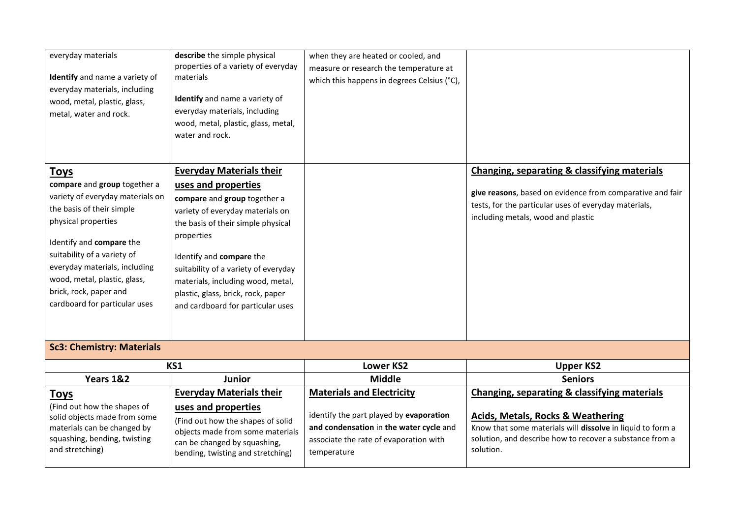| everyday materials<br>Identify and name a variety of<br>everyday materials, including<br>wood, metal, plastic, glass,<br>metal, water and rock.                                                                                                                                                                            | describe the simple physical<br>properties of a variety of everyday<br>materials<br>Identify and name a variety of<br>everyday materials, including<br>wood, metal, plastic, glass, metal,<br>water and rock.                                                                                                                                                      | when they are heated or cooled, and<br>measure or research the temperature at<br>which this happens in degrees Celsius (°C),                                                    |                                                                                                                                                                                                                                     |
|----------------------------------------------------------------------------------------------------------------------------------------------------------------------------------------------------------------------------------------------------------------------------------------------------------------------------|--------------------------------------------------------------------------------------------------------------------------------------------------------------------------------------------------------------------------------------------------------------------------------------------------------------------------------------------------------------------|---------------------------------------------------------------------------------------------------------------------------------------------------------------------------------|-------------------------------------------------------------------------------------------------------------------------------------------------------------------------------------------------------------------------------------|
| <b>Toys</b><br>compare and group together a<br>variety of everyday materials on<br>the basis of their simple<br>physical properties<br>Identify and compare the<br>suitability of a variety of<br>everyday materials, including<br>wood, metal, plastic, glass,<br>brick, rock, paper and<br>cardboard for particular uses | <b>Everyday Materials their</b><br>uses and properties<br>compare and group together a<br>variety of everyday materials on<br>the basis of their simple physical<br>properties<br>Identify and compare the<br>suitability of a variety of everyday<br>materials, including wood, metal,<br>plastic, glass, brick, rock, paper<br>and cardboard for particular uses |                                                                                                                                                                                 | Changing, separating & classifying materials<br>give reasons, based on evidence from comparative and fair<br>tests, for the particular uses of everyday materials,<br>including metals, wood and plastic                            |
| <b>Sc3: Chemistry: Materials</b>                                                                                                                                                                                                                                                                                           |                                                                                                                                                                                                                                                                                                                                                                    |                                                                                                                                                                                 |                                                                                                                                                                                                                                     |
|                                                                                                                                                                                                                                                                                                                            | KS1                                                                                                                                                                                                                                                                                                                                                                | <b>Lower KS2</b>                                                                                                                                                                | <b>Upper KS2</b>                                                                                                                                                                                                                    |
| Years 1&2                                                                                                                                                                                                                                                                                                                  | <b>Junior</b>                                                                                                                                                                                                                                                                                                                                                      | <b>Middle</b>                                                                                                                                                                   | <b>Seniors</b>                                                                                                                                                                                                                      |
| <b>Toys</b><br>(Find out how the shapes of<br>solid objects made from some<br>materials can be changed by<br>squashing, bending, twisting<br>and stretching)                                                                                                                                                               | <b>Everyday Materials their</b><br>uses and properties<br>(Find out how the shapes of solid<br>objects made from some materials<br>can be changed by squashing,<br>bending, twisting and stretching)                                                                                                                                                               | <b>Materials and Electricity</b><br>identify the part played by evaporation<br>and condensation in the water cycle and<br>associate the rate of evaporation with<br>temperature | Changing, separating & classifying materials<br><b>Acids, Metals, Rocks &amp; Weathering</b><br>Know that some materials will dissolve in liquid to form a<br>solution, and describe how to recover a substance from a<br>solution. |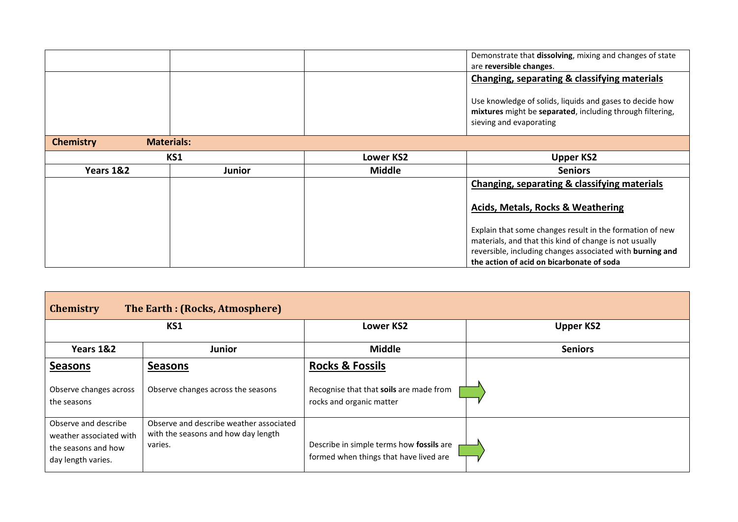|                                       |        |                  | Demonstrate that dissolving, mixing and changes of state<br>are reversible changes.                                                              |
|---------------------------------------|--------|------------------|--------------------------------------------------------------------------------------------------------------------------------------------------|
|                                       |        |                  | Changing, separating & classifying materials                                                                                                     |
|                                       |        |                  | Use knowledge of solids, liquids and gases to decide how<br>mixtures might be separated, including through filtering,<br>sieving and evaporating |
| <b>Materials:</b><br><b>Chemistry</b> |        |                  |                                                                                                                                                  |
| KS1                                   |        | <b>Lower KS2</b> | <b>Upper KS2</b>                                                                                                                                 |
| Years 1&2                             | Junior | <b>Middle</b>    | <b>Seniors</b>                                                                                                                                   |
|                                       |        |                  | Changing, separating & classifying materials                                                                                                     |
|                                       |        |                  | <b>Acids, Metals, Rocks &amp; Weathering</b>                                                                                                     |
|                                       |        |                  | Explain that some changes result in the formation of new                                                                                         |
|                                       |        |                  | materials, and that this kind of change is not usually                                                                                           |
|                                       |        |                  | reversible, including changes associated with burning and<br>the action of acid on bicarbonate of soda                                           |

| <b>Chemistry</b>                                                                             | The Earth: (Rocks, Atmosphere)                                                            |                                                                                                   |                  |
|----------------------------------------------------------------------------------------------|-------------------------------------------------------------------------------------------|---------------------------------------------------------------------------------------------------|------------------|
|                                                                                              | KS1                                                                                       | <b>Lower KS2</b>                                                                                  | <b>Upper KS2</b> |
| Years 1&2                                                                                    | <b>Junior</b>                                                                             | <b>Middle</b>                                                                                     | <b>Seniors</b>   |
| <b>Seasons</b><br>Observe changes across<br>the seasons                                      | <b>Seasons</b><br>Observe changes across the seasons                                      | <b>Rocks &amp; Fossils</b><br>Recognise that that soils are made from<br>rocks and organic matter |                  |
| Observe and describe<br>weather associated with<br>the seasons and how<br>day length varies. | Observe and describe weather associated<br>with the seasons and how day length<br>varies. | Describe in simple terms how fossils are<br>formed when things that have lived are                |                  |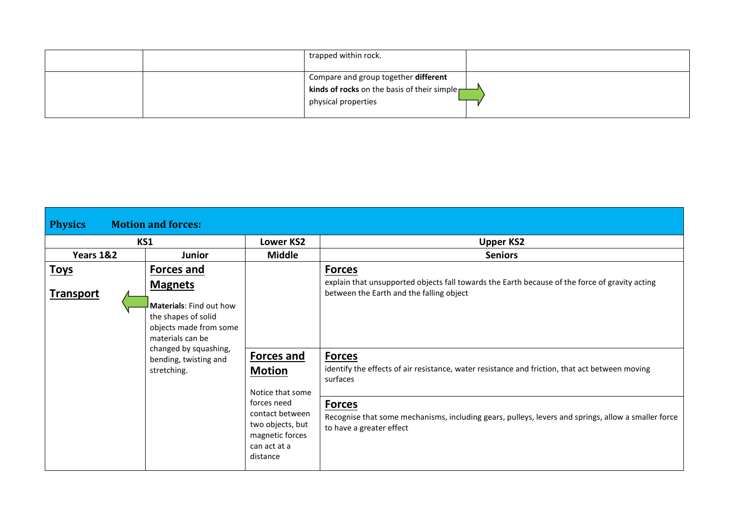|  | trapped within rock.                                                                                                            |  |
|--|---------------------------------------------------------------------------------------------------------------------------------|--|
|  | Compare and group together different<br><b>kinds of rocks</b> on the basis of their simple $\frac{1}{2}$<br>physical properties |  |

| <b>Motion and forces:</b><br><b>Physics</b> |                                                                   |                                                                                                   |                                                                                                                                                  |  |  |
|---------------------------------------------|-------------------------------------------------------------------|---------------------------------------------------------------------------------------------------|--------------------------------------------------------------------------------------------------------------------------------------------------|--|--|
|                                             | KS1                                                               | Lower KS2                                                                                         | <b>Upper KS2</b>                                                                                                                                 |  |  |
| Years 1&2                                   | <b>Junior</b>                                                     | <b>Middle</b>                                                                                     | <b>Seniors</b>                                                                                                                                   |  |  |
| <b>Toys</b>                                 | <b>Forces and</b>                                                 |                                                                                                   | <b>Forces</b>                                                                                                                                    |  |  |
| <b>Transport</b>                            | <b>Magnets</b><br>Materials: Find out how                         |                                                                                                   | explain that unsupported objects fall towards the Earth because of the force of gravity acting<br>between the Earth and the falling object       |  |  |
|                                             | the shapes of solid<br>objects made from some<br>materials can be |                                                                                                   |                                                                                                                                                  |  |  |
|                                             | changed by squashing,<br>bending, twisting and<br>stretching.     | Forces and<br><b>Motion</b><br>Notice that some                                                   | <b>Forces</b><br>identify the effects of air resistance, water resistance and friction, that act between moving<br>surfaces                      |  |  |
|                                             |                                                                   | forces need<br>contact between<br>two objects, but<br>magnetic forces<br>can act at a<br>distance | <b>Forces</b><br>Recognise that some mechanisms, including gears, pulleys, levers and springs, allow a smaller force<br>to have a greater effect |  |  |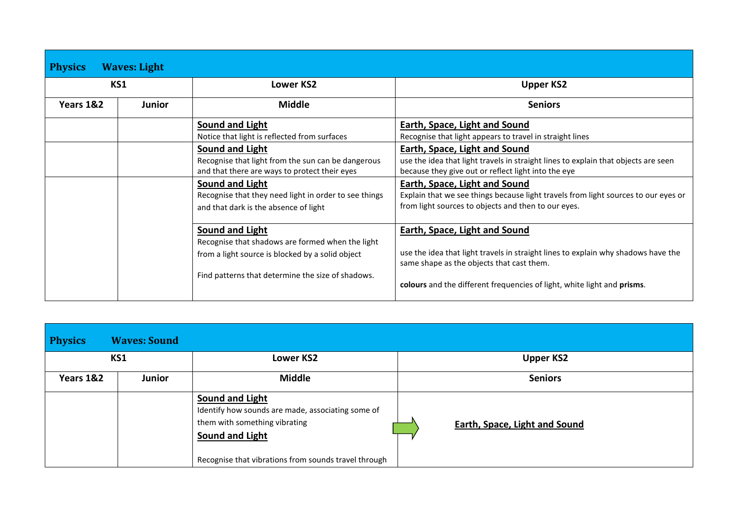| <b>Physics</b> | <b>Waves: Light</b>                                |                                                       |                                                                                                                                |  |  |  |
|----------------|----------------------------------------------------|-------------------------------------------------------|--------------------------------------------------------------------------------------------------------------------------------|--|--|--|
|                | KS1                                                | Lower KS2                                             | <b>Upper KS2</b>                                                                                                               |  |  |  |
| Years 1&2      | Junior                                             | <b>Middle</b>                                         | <b>Seniors</b>                                                                                                                 |  |  |  |
|                |                                                    | Sound and Light                                       | Earth, Space, Light and Sound                                                                                                  |  |  |  |
|                |                                                    | Notice that light is reflected from surfaces          | Recognise that light appears to travel in straight lines                                                                       |  |  |  |
|                |                                                    | Sound and Light                                       | Earth, Space, Light and Sound                                                                                                  |  |  |  |
|                | Recognise that light from the sun can be dangerous |                                                       | use the idea that light travels in straight lines to explain that objects are seen                                             |  |  |  |
|                |                                                    | and that there are ways to protect their eyes         | because they give out or reflect light into the eye                                                                            |  |  |  |
|                |                                                    | <b>Sound and Light</b>                                | Earth, Space, Light and Sound                                                                                                  |  |  |  |
|                |                                                    | Recognise that they need light in order to see things | Explain that we see things because light travels from light sources to our eyes or                                             |  |  |  |
|                |                                                    | and that dark is the absence of light                 | from light sources to objects and then to our eyes.                                                                            |  |  |  |
|                |                                                    | Sound and Light                                       | Earth, Space, Light and Sound                                                                                                  |  |  |  |
|                |                                                    | Recognise that shadows are formed when the light      |                                                                                                                                |  |  |  |
|                |                                                    | from a light source is blocked by a solid object      | use the idea that light travels in straight lines to explain why shadows have the<br>same shape as the objects that cast them. |  |  |  |
|                |                                                    | Find patterns that determine the size of shadows.     | colours and the different frequencies of light, white light and prisms.                                                        |  |  |  |

| <b>Physics</b> | <b>Waves: Sound</b> |                                                                                                                                                                                  |                                      |
|----------------|---------------------|----------------------------------------------------------------------------------------------------------------------------------------------------------------------------------|--------------------------------------|
|                | KS1                 | <b>Lower KS2</b>                                                                                                                                                                 | <b>Upper KS2</b>                     |
| Years 1&2      | <b>Junior</b>       | <b>Middle</b>                                                                                                                                                                    | <b>Seniors</b>                       |
|                |                     | Sound and Light<br>Identify how sounds are made, associating some of<br>them with something vibrating<br>Sound and Light<br>Recognise that vibrations from sounds travel through | <b>Earth, Space, Light and Sound</b> |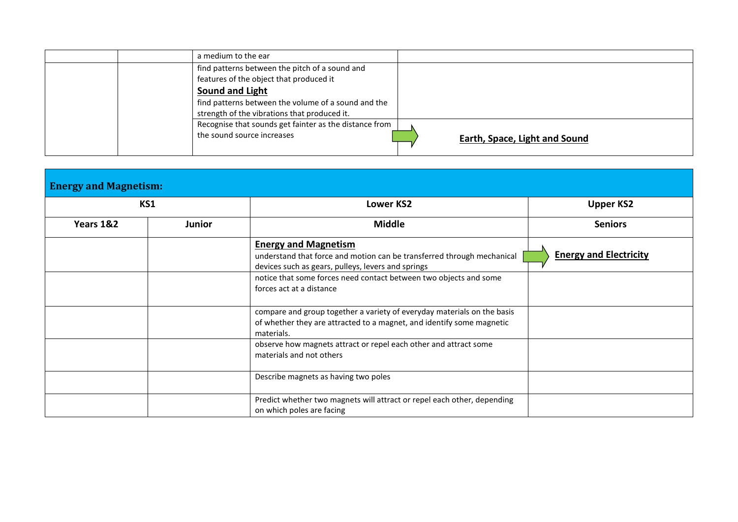|  | a medium to the ear                                    |                               |
|--|--------------------------------------------------------|-------------------------------|
|  | find patterns between the pitch of a sound and         |                               |
|  | features of the object that produced it                |                               |
|  | Sound and Light                                        |                               |
|  | find patterns between the volume of a sound and the    |                               |
|  | strength of the vibrations that produced it.           |                               |
|  | Recognise that sounds get fainter as the distance from |                               |
|  | the sound source increases                             | Earth, Space, Light and Sound |

|                     | <b>Energy and Magnetism:</b> |                                                                                                                                                                                                                                                              |                               |  |  |
|---------------------|------------------------------|--------------------------------------------------------------------------------------------------------------------------------------------------------------------------------------------------------------------------------------------------------------|-------------------------------|--|--|
| KS1                 |                              | <b>Lower KS2</b>                                                                                                                                                                                                                                             | <b>Upper KS2</b>              |  |  |
| Years 1&2<br>Junior |                              | <b>Middle</b>                                                                                                                                                                                                                                                | <b>Seniors</b>                |  |  |
|                     |                              | <b>Energy and Magnetism</b><br>understand that force and motion can be transferred through mechanical<br>devices such as gears, pulleys, levers and springs<br>notice that some forces need contact between two objects and some<br>forces act at a distance | <b>Energy and Electricity</b> |  |  |
|                     |                              | compare and group together a variety of everyday materials on the basis<br>of whether they are attracted to a magnet, and identify some magnetic<br>materials.                                                                                               |                               |  |  |
|                     |                              | observe how magnets attract or repel each other and attract some<br>materials and not others                                                                                                                                                                 |                               |  |  |
|                     |                              | Describe magnets as having two poles                                                                                                                                                                                                                         |                               |  |  |
|                     |                              | Predict whether two magnets will attract or repel each other, depending<br>on which poles are facing                                                                                                                                                         |                               |  |  |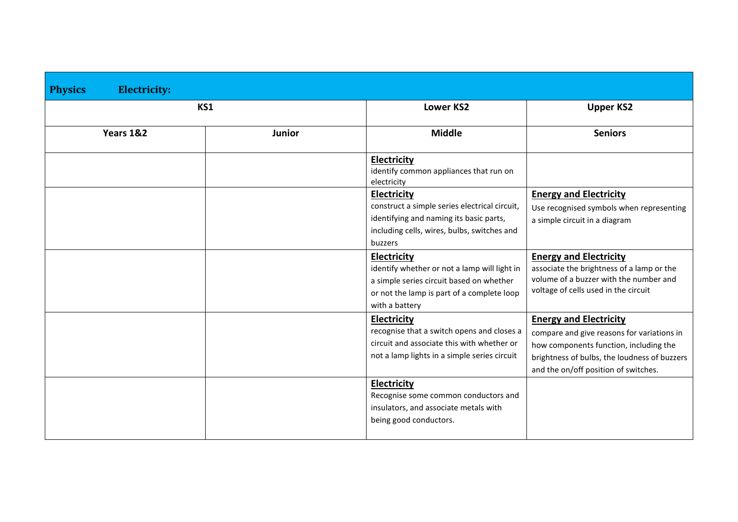| <b>Electricity:</b><br><b>Physics</b> |               |                                                                                                                                                                                |                                                                                                                                                                                                               |
|---------------------------------------|---------------|--------------------------------------------------------------------------------------------------------------------------------------------------------------------------------|---------------------------------------------------------------------------------------------------------------------------------------------------------------------------------------------------------------|
| KS1                                   |               | <b>Lower KS2</b>                                                                                                                                                               | <b>Upper KS2</b>                                                                                                                                                                                              |
| Years 1&2                             | <b>Junior</b> | <b>Middle</b>                                                                                                                                                                  | <b>Seniors</b>                                                                                                                                                                                                |
|                                       |               | <b>Electricity</b><br>identify common appliances that run on<br>electricity                                                                                                    |                                                                                                                                                                                                               |
|                                       |               | <b>Electricity</b><br>construct a simple series electrical circuit,<br>identifying and naming its basic parts,<br>including cells, wires, bulbs, switches and<br>buzzers       | <b>Energy and Electricity</b><br>Use recognised symbols when representing<br>a simple circuit in a diagram                                                                                                    |
|                                       |               | <b>Electricity</b><br>identify whether or not a lamp will light in<br>a simple series circuit based on whether<br>or not the lamp is part of a complete loop<br>with a battery | <b>Energy and Electricity</b><br>associate the brightness of a lamp or the<br>volume of a buzzer with the number and<br>voltage of cells used in the circuit                                                  |
|                                       |               | Electricity<br>recognise that a switch opens and closes a<br>circuit and associate this with whether or<br>not a lamp lights in a simple series circuit                        | <b>Energy and Electricity</b><br>compare and give reasons for variations in<br>how components function, including the<br>brightness of bulbs, the loudness of buzzers<br>and the on/off position of switches. |
|                                       |               | <b>Electricity</b><br>Recognise some common conductors and<br>insulators, and associate metals with<br>being good conductors.                                                  |                                                                                                                                                                                                               |